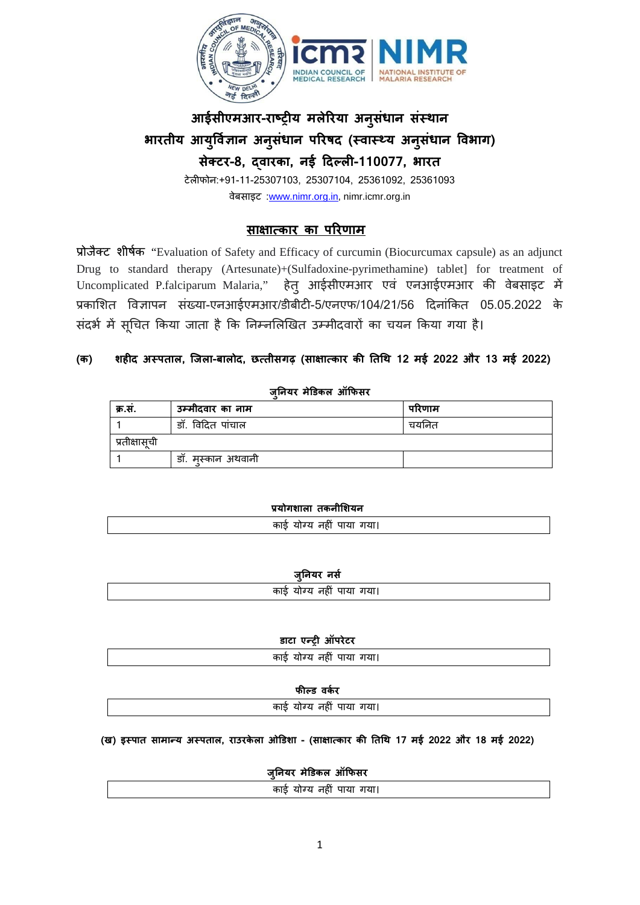

# **आईसीएमआर-राष्ट्र य मलेरया अनुसंधान संस्** भारतीय आयुर्विज्ञान अनुसंधान परिषद (स्वास्थ्य अनुसंधान विभाग) **सेक्ट-8, द्वारक, नई �दल्ल-110077, भारत**

टेल�फोन:+91-11-25307103, 25307104, 25361092, 25361093 वेबसाइट :[www.nimr.org.in,](http://www.nimr.org.in/) nimr.icmr.org.in

# **सा�ात्का का परणा**

प्रोजैक्ट शी "Evaluation of Safety and Efficacy of curcumin (Biocurcumax capsule) as an adjunct Drug to standard therapy (Artesunate)+(Sulfadoxine-pyrimethamine) tablet] for treatment of Uncomplicated P.falciparum Malaria," हेत् आईसीएमआर एवं एनआईएमआर की वेबसाइट में प्रकाशित विज्ञापन संख्या-एनआईएमआर/डीबीटी-5/एनएफ/104/21/56 दिनांकित 05.05.2022 के संदर्भ में सूचित किया जाता है कि निम्नलिखित उम्मीदवारों का चयन किया गया है।

# **(क) शहद अस्पता, िजला-बालोद, छत्तीसग (सा�ात्का क� �त�थ 12 मई 2022 और 13 मई 2022)**

**जु�नयर म�डेकल ऑ�फसर**

| क्र.स.        | उम्मीदवार का नाम   | परिणाम   |
|---------------|--------------------|----------|
|               | डॉ. विदित पांचाल   | चर्यानेत |
| प्रतीक्षासूची |                    |          |
|               | डॉ. मुस्कान अथवानी |          |

| प्रयोगशाला तकनीशियन      |
|--------------------------|
| काई योग्य नहीं पाया गया। |
|                          |

| जानयर | नस |
|-------|----|
|       |    |

| ____<br>काई योग्य नहीं पाया गया। |  |
|----------------------------------|--|
|                                  |  |

|  |  | डाटा एन्ट्री ऑपरेटर |
|--|--|---------------------|
|--|--|---------------------|

| $300 \times 20 = 301100$ |  |
|--------------------------|--|
| काई योग्य नहीं पाया गया। |  |
|                          |  |

**फ�ल्ड वकर**

काई योग्य नहं पाया गया

**(ख) इस्पात सामान्य अस्प, राउरकेला ओ�डशा - (सा�ात्का क तथ17 मई 2022 और 18 मई 2022)**

**जु�नयर म�डेकल ऑ�फसर**

| $^{\prime\prime}$<br>. .<br>. . |
|---------------------------------|
|                                 |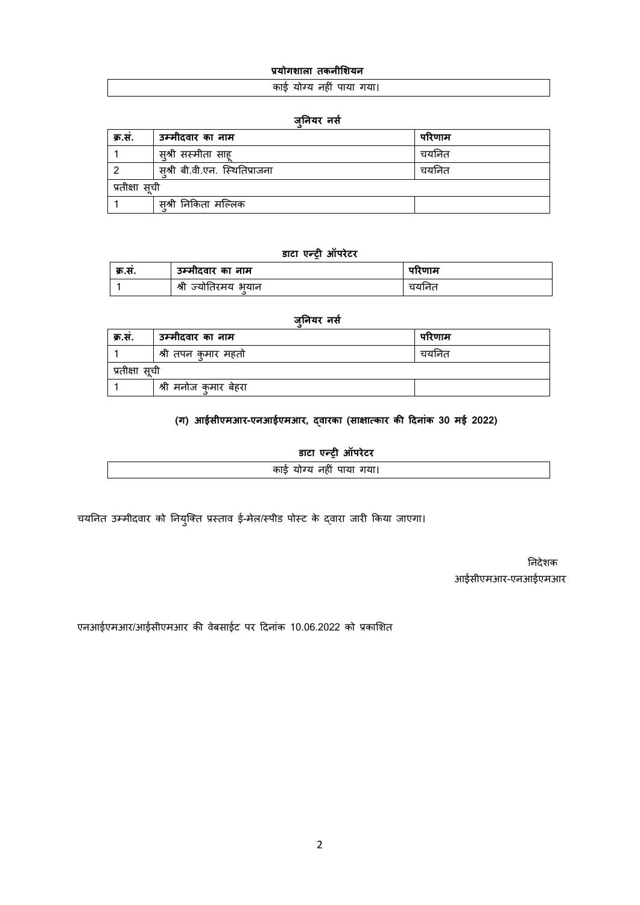### **प्रयोगशा तकनी शयन**

#### काई योग्य नहं पाया गया

#### **जु�नयर नसर**

| क्र.सं. | उम्मीदवार का नाम              | परिणाम |  |
|---------|-------------------------------|--------|--|
|         | स़्श्री सस्मीता साह           | चयनित  |  |
|         | सश्री बी.वी.एन. स्थितिप्राजना | चयनित  |  |
|         | प्रतीक्षा सूची                |        |  |
|         | सश्री निकिता मल्लिक           |        |  |

### **डाटा एन्ट्र ऑपर**

| क्र.स. | उम्मीदवार का नाम    | पारणाम |
|--------|---------------------|--------|
|        | श्री ज्योतिरमय भयान | चयानत  |

#### **जु�नयर नसर**

| क्र.स. | उम्मीदवार का नाम        | परिणाम   |  |
|--------|-------------------------|----------|--|
|        | श्री तपन कुमार महतो     | चर्यानेत |  |
|        | प्रतीक्षा सूची          |          |  |
|        | । श्री मनोज क्मार बेहरा |          |  |

# **(ग) आईसीएमआर-एनआईएमआर, द्वारका(सा�ात्का क दनांक30 मई 2022)**

**डाटा एन्ट्र ऑपर**

| . .<br>.<br>. . |  |
|-----------------|--|
|                 |  |

चयनित उम्मीदवार को नियुक्ति प्रस्ताव ई-मेल/स्पीड पोस्ट के द्वारा जारी किया जाएगा।

 नदेशक आईसीएमआर-एनआईएमआर

एनआईएमआर/आईसीएमआर की वेबसाईट पर दिनांक 10.06.2022 को प्रकाशित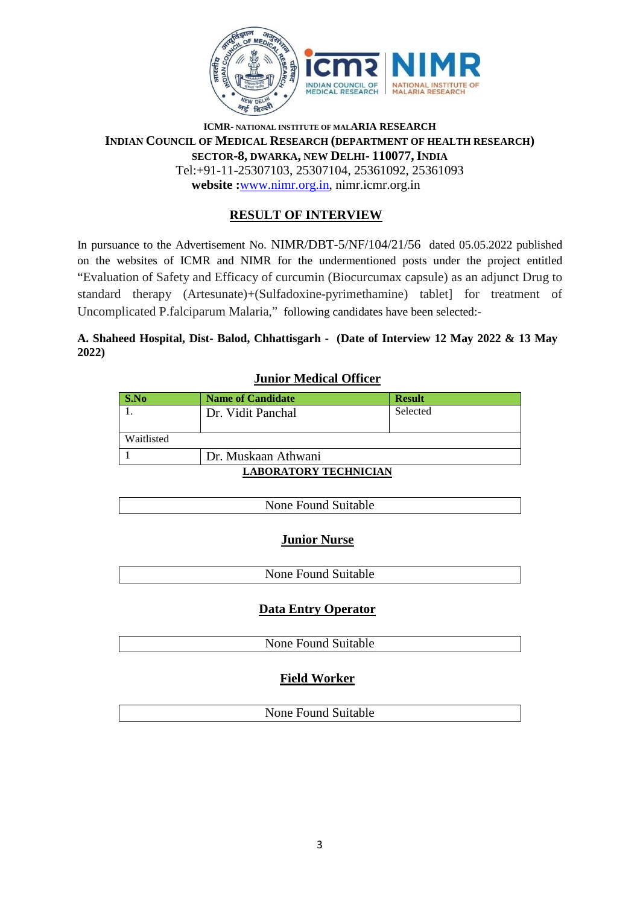

### **ICMR- NATIONAL INSTITUTE OF MALARIA RESEARCH INDIAN COUNCIL OF MEDICAL RESEARCH (DEPARTMENT OF HEALTH RESEARCH) SECTOR-8, DWARKA, NEW DELHI- 110077, INDIA** Tel:+91-11-25307103, 25307104, 25361092, 25361093 **website :**[www.nimr.org.in,](http://www.nimr.org.in/) nimr.icmr.org.in

# **RESULT OF INTERVIEW**

In pursuance to the Advertisement No. NIMR/DBT-5/NF/104/21/56 dated 05.05.2022 published on the websites of ICMR and NIMR for the undermentioned posts under the project entitled "Evaluation of Safety and Efficacy of curcumin (Biocurcumax capsule) as an adjunct Drug to standard therapy (Artesunate)+(Sulfadoxine-pyrimethamine) tablet] for treatment of Uncomplicated P.falciparum Malaria," following candidates have been selected:-

### **A. Shaheed Hospital, Dist- Balod, Chhattisgarh - (Date of Interview 12 May 2022 & 13 May 2022)**

| <u>Juliol Medical Officer</u> |                          |               |
|-------------------------------|--------------------------|---------------|
| S.No                          | <b>Name of Candidate</b> | <b>Result</b> |
|                               | Dr. Vidit Panchal        | Selected      |
| Waitlisted                    |                          |               |
| Dr. Muskaan Athwani           |                          |               |
| LA DAD ATADVZ TEALBLALA       |                          |               |

# **Junior Medical Officer**

# **LABORATORY TECHNICIAN**

| None Found Suitable |
|---------------------|

# **Junior Nurse**

| None Found Suitable |
|---------------------|
|                     |

# **Data Entry Operator**

None Found Suitable

# **Field Worker**

None Found Suitable